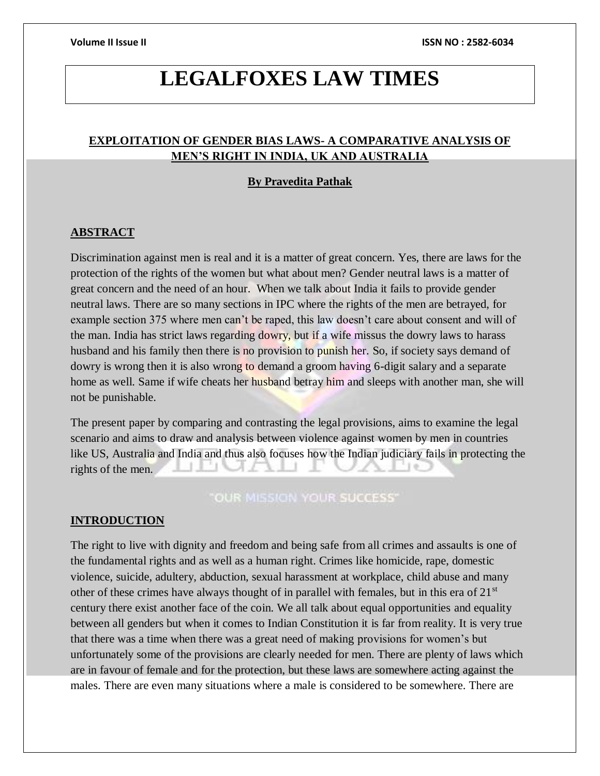# **LEGALFOXES LAW TIMES**

## **EXPLOITATION OF GENDER BIAS LAWS- A COMPARATIVE ANALYSIS OF MEN'S RIGHT IN INDIA, UK AND AUSTRALIA**

## **By Pravedita Pathak**

## **ABSTRACT**

Discrimination against men is real and it is a matter of great concern. Yes, there are laws for the protection of the rights of the women but what about men? Gender neutral laws is a matter of great concern and the need of an hour. When we talk about India it fails to provide gender neutral laws. There are so many sections in IPC where the rights of the men are betrayed, for example section 375 where men can't be raped, this law doesn't care about consent and will of the man. India has strict laws regarding dowry, but if a wife missus the dowry laws to harass husband and his family then there is no provision to punish her. So, if society says demand of dowry is wrong then it is also wrong to demand a groom having 6-digit salary and a separate home as well. Same if wife cheats her husband betray him and sleeps with another man, she will not be punishable.

The present paper by comparing and contrasting the legal provisions, aims to examine the legal scenario and aims to draw and analysis between violence against women by men in countries like US, Australia and India and thus also focuses how the Indian judiciary fails in protecting the rights of the men.

**"OUR MISSION YOUR SUCCESS"** 

### **INTRODUCTION**

The right to live with dignity and freedom and being safe from all crimes and assaults is one of the fundamental rights and as well as a human right. Crimes like homicide, rape, domestic violence, suicide, adultery, abduction, sexual harassment at workplace, child abuse and many other of these crimes have always thought of in parallel with females, but in this era of 21<sup>st</sup> century there exist another face of the coin. We all talk about equal opportunities and equality between all genders but when it comes to Indian Constitution it is far from reality. It is very true that there was a time when there was a great need of making provisions for women's but unfortunately some of the provisions are clearly needed for men. There are plenty of laws which are in favour of female and for the protection, but these laws are somewhere acting against the males. There are even many situations where a male is considered to be somewhere. There are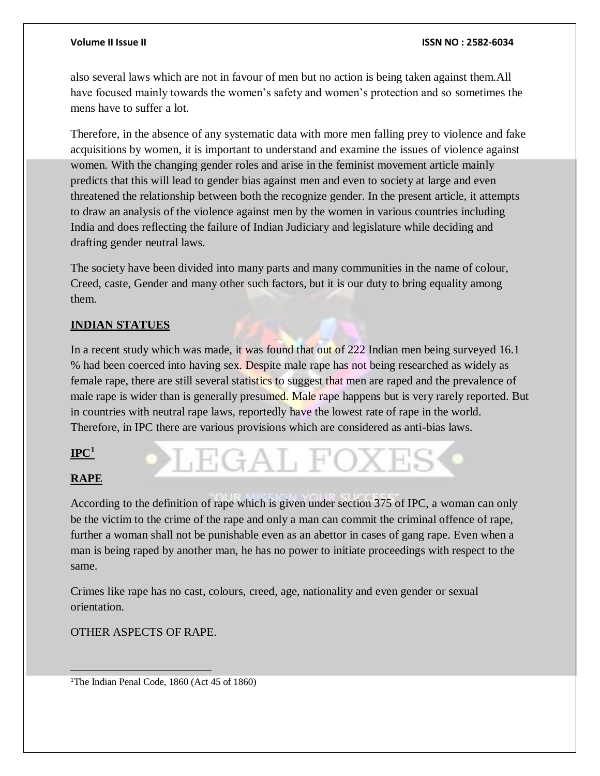also several laws which are not in favour of men but no action is being taken against them.All have focused mainly towards the women's safety and women's protection and so sometimes the mens have to suffer a lot.

Therefore, in the absence of any systematic data with more men falling prey to violence and fake acquisitions by women, it is important to understand and examine the issues of violence against women. With the changing gender roles and arise in the feminist movement article mainly predicts that this will lead to gender bias against men and even to society at large and even threatened the relationship between both the recognize gender. In the present article, it attempts to draw an analysis of the violence against men by the women in various countries including India and does reflecting the failure of Indian Judiciary and legislature while deciding and drafting gender neutral laws.

The society have been divided into many parts and many communities in the name of colour, Creed, caste, Gender and many other such factors, but it is our duty to bring equality among them.

## **INDIAN STATUES**

In a recent study which was made, it was found that out of 222 Indian men being surveyed 16.1 % had been coerced into having sex. Despite male rape has not being researched as widely as female rape, there are still several statistics to suggest that men are raped and the prevalence of male rape is wider than is generally presumed. Male rape happens but is very rarely reported. But in countries with neutral rape laws, reportedly have the lowest rate of rape in the world. Therefore, in IPC there are various provisions which are considered as anti-bias laws.

## **IPC<sup>1</sup>**

## **RAPE**

 $\overline{a}$ 

According to the definition of rape which is given under section 375 of IPC, a woman can only be the victim to the crime of the rape and only a man can commit the criminal offence of rape, further a woman shall not be punishable even as an abettor in cases of gang rape. Even when a man is being raped by another man, he has no power to initiate proceedings with respect to the same.

LEGAL FOXI

Crimes like rape has no cast, colours, creed, age, nationality and even gender or sexual orientation.

OTHER ASPECTS OF RAPE.

<sup>1</sup>The Indian Penal Code, 1860 (Act 45 of 1860)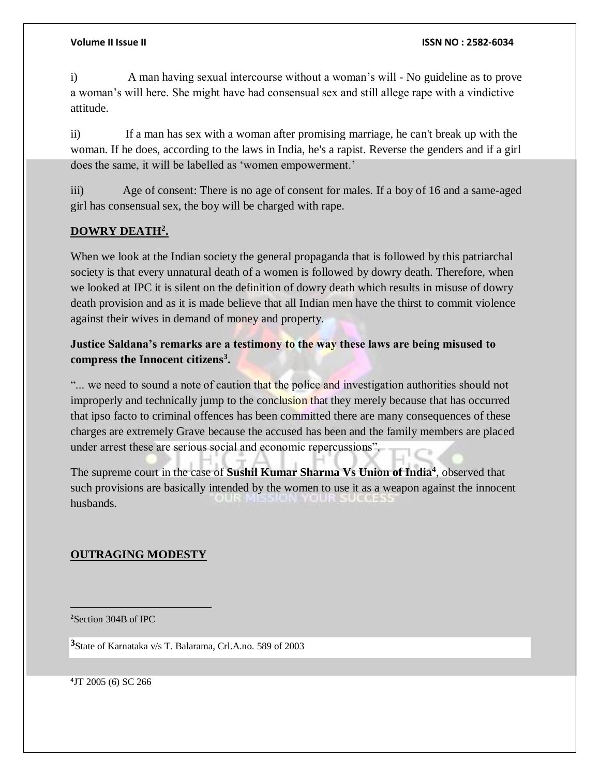i) A man having sexual intercourse without a woman's will - No guideline as to prove a woman's will here. She might have had consensual sex and still allege rape with a vindictive attitude.

ii) If a man has sex with a woman after promising marriage, he can't break up with the woman. If he does, according to the laws in India, he's a rapist. Reverse the genders and if a girl does the same, it will be labelled as 'women empowerment.'

iii) Age of consent: There is no age of consent for males. If a boy of 16 and a same-aged girl has consensual sex, the boy will be charged with rape.

## **DOWRY DEATH<sup>2</sup> .**

When we look at the Indian society the general propaganda that is followed by this patriarchal society is that every unnatural death of a women is followed by dowry death. Therefore, when we looked at IPC it is silent on the definition of dowry death which results in misuse of dowry death provision and as it is made believe that all Indian men have the thirst to commit violence against their wives in demand of money and property.

## **Justice Saldana's remarks are a testimony to the way these laws are being misused to compress the Innocent citizens<sup>3</sup> .**

"... we need to sound a note of caution that the police and investigation authorities should not improperly and technically jump to the conclusion that they merely because that has occurred that ipso facto to criminal offences has been committed there are many consequences of these charges are extremely Grave because the accused has been and the family members are placed under arrest these are serious social and economic repercussions".

The supreme court in the case of **Sushil Kumar Sharma Vs Union of India<sup>4</sup>** , observed that such provisions are basically intended by the women to use it as a weapon against the innocent husbands.

## **OUTRAGING MODESTY**

 $\overline{a}$ <sup>2</sup>Section 304B of IPC

**<sup>3</sup>**State of Karnataka v/s T. Balarama, Crl.A.no. 589 of 2003

4 JT 2005 (6) SC 266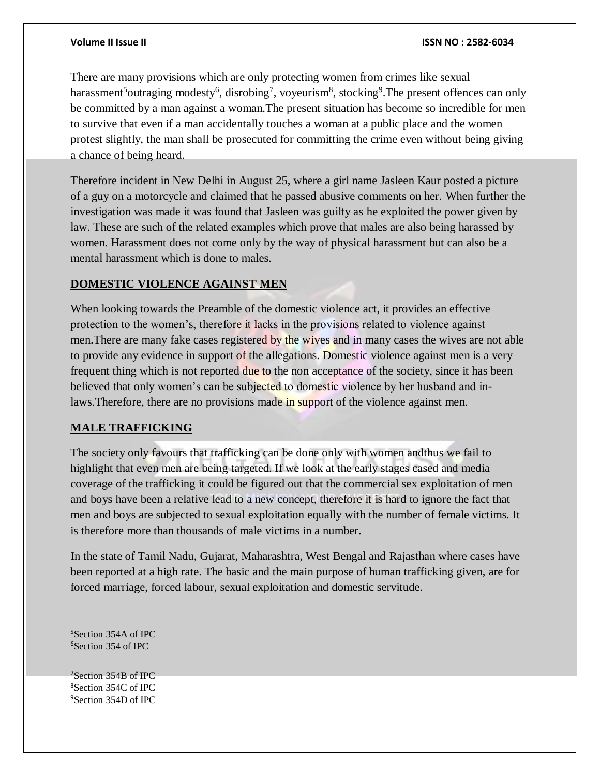There are many provisions which are only protecting women from crimes like sexual harassment<sup>5</sup>outraging modesty<sup>6</sup>, disrobing<sup>7</sup>, voyeurism<sup>8</sup>, stocking<sup>9</sup>. The present offences can only be committed by a man against a woman.The present situation has become so incredible for men to survive that even if a man accidentally touches a woman at a public place and the women protest slightly, the man shall be prosecuted for committing the crime even without being giving a chance of being heard.

Therefore incident in New Delhi in August 25, where a girl name Jasleen Kaur posted a picture of a guy on a motorcycle and claimed that he passed abusive comments on her. When further the investigation was made it was found that Jasleen was guilty as he exploited the power given by law. These are such of the related examples which prove that males are also being harassed by women. Harassment does not come only by the way of physical harassment but can also be a mental harassment which is done to males.

## **DOMESTIC VIOLENCE AGAINST MEN**

When looking towards the Preamble of the domestic violence act, it provides an effective protection to the women's, therefore it lacks in the provisions related to violence against men. There are many fake cases registered by the wives and in many cases the wives are not able to provide any evidence in support of the allegations. Domestic violence against men is a very frequent thing which is not reported due to the non acceptance of the society, since it has been believed that only women's can be subjected to domestic violence by her husband and inlaws.Therefore, there are no provisions made in support of the violence against men.

## **MALE TRAFFICKING**

The society only favours that trafficking can be done only with women andthus we fail to highlight that even men are being targeted. If we look at the early stages cased and media coverage of the trafficking it could be figured out that the commercial sex exploitation of men and boys have been a relative lead to a new concept, therefore it is hard to ignore the fact that men and boys are subjected to sexual exploitation equally with the number of female victims. It is therefore more than thousands of male victims in a number.

In the state of Tamil Nadu, Gujarat, Maharashtra, West Bengal and Rajasthan where cases have been reported at a high rate. The basic and the main purpose of human trafficking given, are for forced marriage, forced labour, sexual exploitation and domestic servitude.

<sup>5</sup>Section 354A of IPC <sup>6</sup>Section 354 of IPC

 $\overline{a}$ 

<sup>7</sup>Section 354B of IPC <sup>8</sup>Section 354C of IPC <sup>9</sup>Section 354D of IPC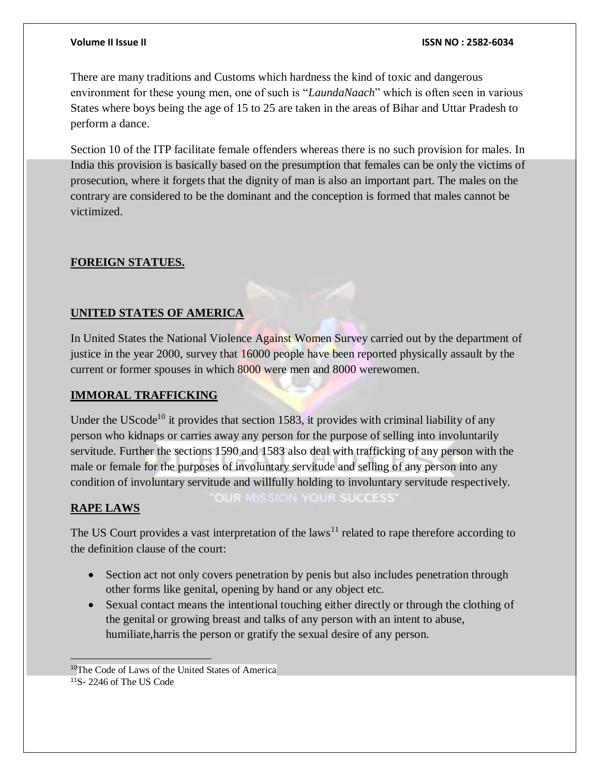There are many traditions and Customs which hardness the kind of toxic and dangerous environment for these young men, one of such is "*LaundaNaach*" which is often seen in various States where boys being the age of 15 to 25 are taken in the areas of Bihar and Uttar Pradesh to perform a dance.

Section 10 of the ITP facilitate female offenders whereas there is no such provision for males. In India this provision is basically based on the presumption that females can be only the victims of prosecution, where it forgets that the dignity of man is also an important part. The males on the contrary are considered to be the dominant and the conception is formed that males cannot be victimized.

## **FOREIGN STATUES.**

## **UNITED STATES OF AMERICA**

In United States the National Violence Against Women Survey carried out by the department of justice in the year 2000, survey that 16000 people have been reported physically assault by the current or former spouses in which 8000 were men and 8000 werewomen.

## **IMMORAL TRAFFICKING**

Under the UScode<sup>10</sup> it provides that section 1583, it provides with criminal liability of any person who kidnaps or carries away any person for the purpose of selling into involuntarily servitude. Further the sections 1590 and 1583 also deal with trafficking of any person with the male or female for the purposes of involuntary servitude and selling of any person into any condition of involuntary servitude and willfully holding to involuntary servitude respectively. OUR MISSION YOUR SUCCESS'

## **RAPE LAWS**

 $\overline{a}$ 

The US Court provides a vast interpretation of the laws<sup>11</sup> related to rape therefore according to the definition clause of the court:

- Section act not only covers penetration by penis but also includes penetration through other forms like genital, opening by hand or any object etc.
- Sexual contact means the intentional touching either directly or through the clothing of the genital or growing breast and talks of any person with an intent to abuse, humiliate,harris the person or gratify the sexual desire of any person.

<sup>&</sup>lt;sup>10</sup>The Code of Laws of the United States of America <sup>11</sup>S- 2246 of The US Code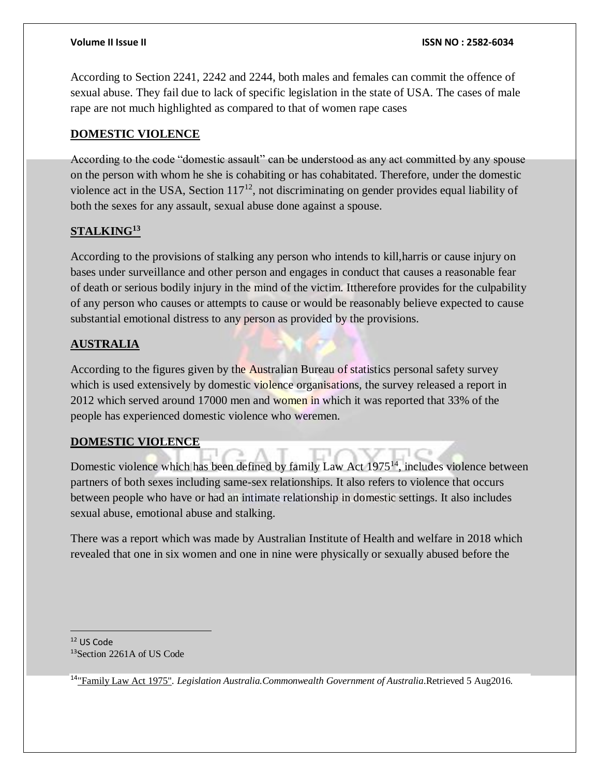According to Section 2241, 2242 and 2244, both males and females can commit the offence of sexual abuse. They fail due to lack of specific legislation in the state of USA. The cases of male rape are not much highlighted as compared to that of women rape cases

## **DOMESTIC VIOLENCE**

According to the code "domestic assault" can be understood as any act committed by any spouse on the person with whom he she is cohabiting or has cohabitated. Therefore, under the domestic violence act in the USA, Section  $117<sup>12</sup>$ , not discriminating on gender provides equal liability of both the sexes for any assault, sexual abuse done against a spouse.

## **STALKING<sup>13</sup>**

According to the provisions of stalking any person who intends to kill,harris or cause injury on bases under surveillance and other person and engages in conduct that causes a reasonable fear of death or serious bodily injury in the mind of the victim. Ittherefore provides for the culpability of any person who causes or attempts to cause or would be reasonably believe expected to cause substantial emotional distress to any person as provided by the provisions.

## **AUSTRALIA**

According to the figures given by the Australian Bureau of statistics personal safety survey which is used extensively by domestic violence organisations, the survey released a report in 2012 which served around 17000 men and women in which it was reported that 33% of the people has experienced domestic violence who weremen.

## **DOMESTIC VIOLENCE**

Domestic violence which has been defined by family Law Act 1975<sup>14</sup>, includes violence between partners of both sexes including same-sex relationships. It also refers to violence that occurs between people who have or had an intimate relationship in domestic settings. It also includes sexual abuse, emotional abuse and stalking.

There was a report which was made by Australian Institute of Health and welfare in 2018 which revealed that one in six women and one in nine were physically or sexually abused before the

<sup>12</sup> US Code <sup>13</sup>Section 2261A of US Code

 $\overline{a}$ 

<sup>14</sup>["Family Law Act 1975"](https://www.legislation.gov.au/Details/C2013C00053/Download)*. Legislation Australia.Commonwealth Government of Australia*.Retrieved 5 Aug2016*.*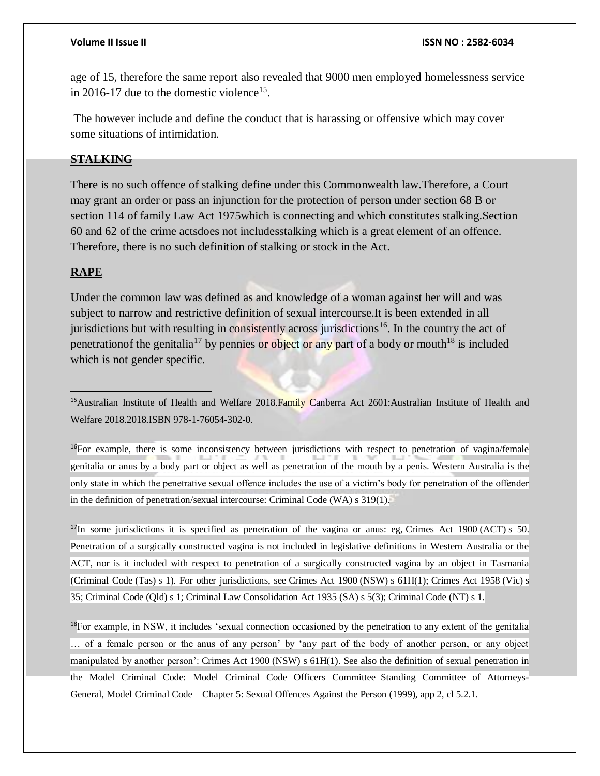age of 15, therefore the same report also revealed that 9000 men employed homelessness service in 2016-17 due to the domestic violence<sup>15</sup>.

The however include and define the conduct that is harassing or offensive which may cover some situations of intimidation.

### **STALKING**

There is no such offence of stalking define under this Commonwealth law.Therefore, a Court may grant an order or pass an injunction for the protection of person under section 68 B or section 114 of family Law Act 1975which is connecting and which constitutes stalking.Section 60 and 62 of the crime actsdoes not includesstalking which is a great element of an offence. Therefore, there is no such definition of stalking or stock in the Act.

## **RAPE**

 $\overline{a}$ 

Under the common law was defined as and knowledge of a woman against her will and was subject to narrow and restrictive definition of sexual intercourse.It is been extended in all jurisdictions but with resulting in consistently across jurisdictions<sup>16</sup>. In the country the act of penetration of the genitalia<sup>17</sup> by pennies or object or any part of a body or mouth<sup>18</sup> is included which is not gender specific.

<sup>15</sup>Australian Institute of Health and Welfare 2018.Family Canberra Act 2601:Australian Institute of Health and Welfare 2018.2018.ISBN 978-1-76054-302-0.

<sup>16</sup>For example, there is some inconsistency between jurisdictions with respect to penetration of vagina/female genitalia or anus by a body part or object as well as penetration of the mouth by a penis. Western Australia is the only state in which the penetrative sexual offence includes the use of a victim's body for penetration of the offender in the definition of penetration/sexual intercourse: Criminal Code (WA) s 319(1).

<sup>17</sup>In some jurisdictions it is specified as penetration of the vagina or anus: eg, Crimes Act 1900 (ACT) s 50. Penetration of a surgically constructed vagina is not included in legislative definitions in Western Australia or the ACT, nor is it included with respect to penetration of a surgically constructed vagina by an object in Tasmania (Criminal Code (Tas) s 1). For other jurisdictions, see Crimes Act 1900 (NSW) s 61H(1); Crimes Act 1958 (Vic) s 35; Criminal Code (Qld) s 1; Criminal Law Consolidation Act 1935 (SA) s 5(3); Criminal Code (NT) s 1.

 $18$ For example, in NSW, it includes 'sexual connection occasioned by the penetration to any extent of the genitalia … of a female person or the anus of any person' by 'any part of the body of another person, or any object manipulated by another person': Crimes Act 1900 (NSW) s 61H(1). See also the definition of sexual penetration in the Model Criminal Code: Model Criminal Code Officers Committee–Standing Committee of Attorneys-General, Model Criminal Code—Chapter 5: Sexual Offences Against the Person (1999), app 2, cl 5.2.1.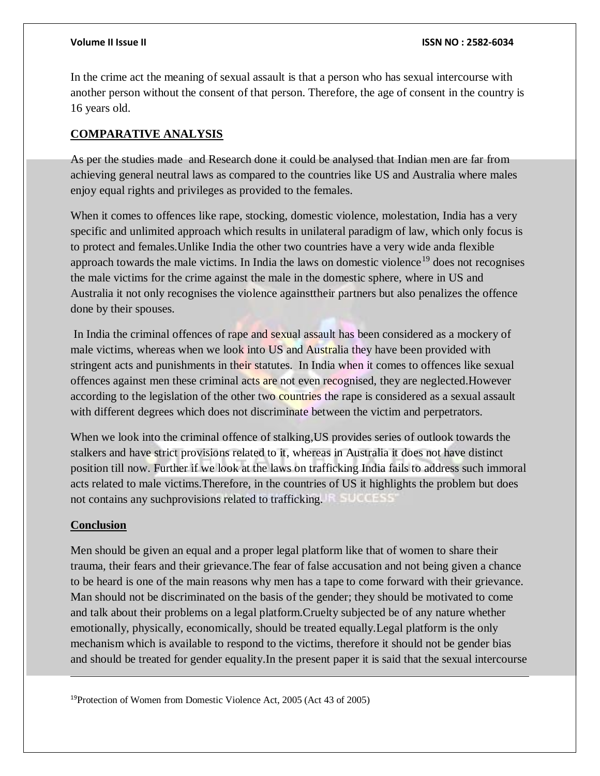In the crime act the meaning of sexual assault is that a person who has sexual intercourse with another person without the consent of that person. Therefore, the age of consent in the country is 16 years old.

## **COMPARATIVE ANALYSIS**

As per the studies made and Research done it could be analysed that Indian men are far from achieving general neutral laws as compared to the countries like US and Australia where males enjoy equal rights and privileges as provided to the females.

When it comes to offences like rape, stocking, domestic violence, molestation, India has a very specific and unlimited approach which results in unilateral paradigm of law, which only focus is to protect and females.Unlike India the other two countries have a very wide anda flexible approach towards the male victims. In India the laws on domestic violence<sup>19</sup> does not recognises the male victims for the crime against the male in the domestic sphere, where in US and Australia it not only recognises the violence againsttheir partners but also penalizes the offence done by their spouses.

In India the criminal offences of rape and sexual assault has been considered as a mockery of male victims, whereas when we look into US and Australia they have been provided with stringent acts and punishments in their statutes. In India when it comes to offences like sexual offences against men these criminal acts are not even recognised, they are neglected.However according to the legislation of the other two countries the rape is considered as a sexual assault with different degrees which does not discriminate between the victim and perpetrators.

When we look into the criminal offence of stalking,US provides series of outlook towards the stalkers and have strict provisions related to it, whereas in Australia it does not have distinct position till now. Further if we look at the laws on trafficking India fails to address such immoral acts related to male victims.Therefore, in the countries of US it highlights the problem but does not contains any suchprovisions related to trafficking.

## **Conclusion**

l

Men should be given an equal and a proper legal platform like that of women to share their trauma, their fears and their grievance.The fear of false accusation and not being given a chance to be heard is one of the main reasons why men has a tape to come forward with their grievance. Man should not be discriminated on the basis of the gender; they should be motivated to come and talk about their problems on a legal platform.Cruelty subjected be of any nature whether emotionally, physically, economically, should be treated equally.Legal platform is the only mechanism which is available to respond to the victims, therefore it should not be gender bias and should be treated for gender equality.In the present paper it is said that the sexual intercourse

19Protection of Women from Domestic Violence Act, 2005 (Act 43 of 2005)